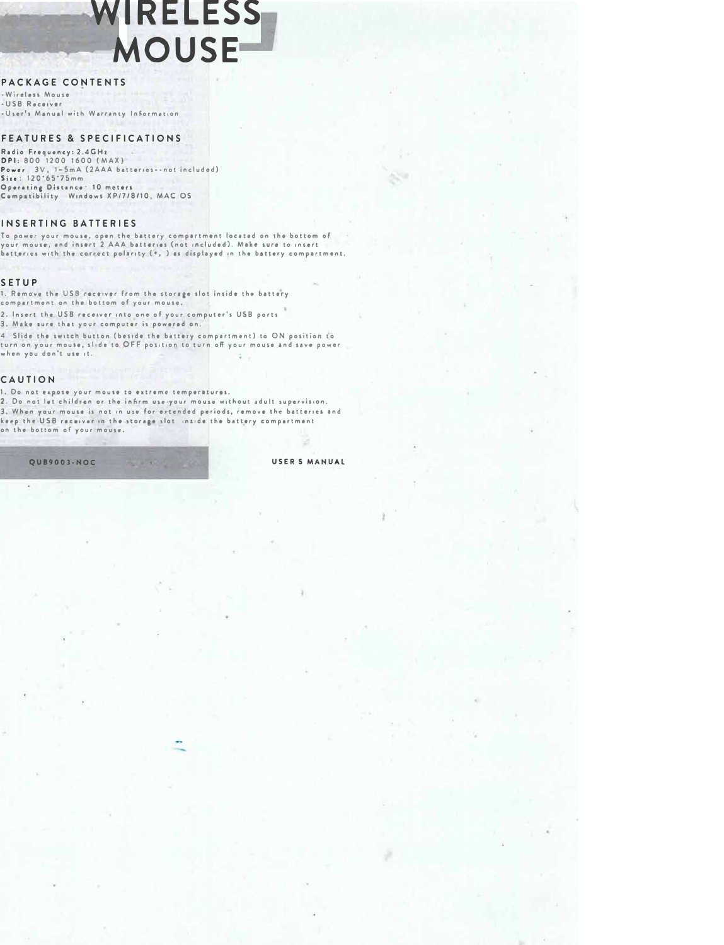# WIRELESS **MOUSE**

# PACKAGE CONTENTS

-Wireless Mouse -USB Receiver -User's Manual with Warranty Informat

## **FEATURES & SPECIFICATIONS**

Radio Frequency: 2.4GHz DPI: 800 1200 1600 (MAX) Power 3V, 1-5mA (2AAA batteries -- not included)  $Sise: 120.65.75mm$ Operating Distance 10 meters Compatibility Windows XP/7/8/10, MAC OS

#### **INSERTING BATTERIES**

To power your mouse, open the battery compartment located on the bottom of vour mouse, and insert 2 AAA batteries (not included). Make sure to insert batteries with the correct polarity (+, ) as displayed in the battery compartment.

## **SETUP**

1. Remove the USB receiver from the storage slot inside the battery compartment on the bottom of your mouse.

2. Insert the USB receiver into one of your computer's USB ports

3. Make sure that your computer is powered on.

4 Slide the switch button (beside the battery compartment) to ON position to turn on your mouse, slide to OFF position to turn off your mouse and save power when you don't use it.

# CAUTION

1. Do not expose your mouse to extreme temperatures.

2. Do not let children or the infirm use your mouse without adult supervision.

3. When your mouse is not in use for extended periods, remove the batteries and keep the USB receiver in the storage slot inside the battery compartment on the bottom of your mouse.

#### USER S MANUAL